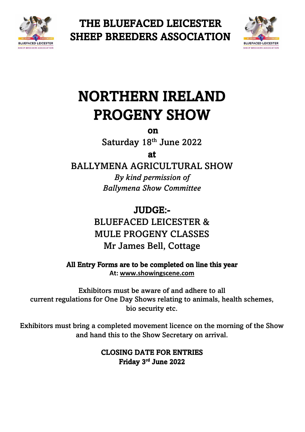

THE BLUEFACED LEICESTER SHEEP BREEDERS ASSOCIATION



# NORTHERN IRELAND PROGENY SHOW

on

Saturday 18<sup>th</sup> June 2022

at

BALLYMENA AGRICULTURAL SHOW

*By kind permission of Ballymena Show Committee*

JUDGE:- BLUEFACED LEICESTER & MULE PROGENY CLASSES Mr James Bell, Cottage

All Entry Forms are to be completed on line this year **At: [www.showingscene.com](http://www.showingscene.com/)**

Exhibitors must be aware of and adhere to all current regulations for One Day Shows relating to animals, health schemes, bio security etc.

Exhibitors must bring a completed movement licence on the morning of the Show and hand this to the Show Secretary on arrival.

> CLOSING DATE FOR ENTRIES Friday 3 rd June 2022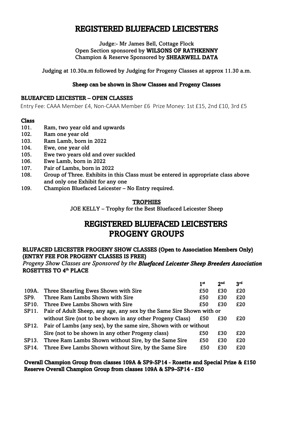# REGISTERED BLUEFACED LEICESTERS

Judge:- Mr James Bell, Cottage Flock Open Section sponsored by WILSONS OF RATHKENNY Champion & Reserve Sponsored by SHEARWELL DATA

Judging at 10.30a.m followed by Judging for Progeny Classes at approx 11.30 a.m.

## Sheep can be shown in Show Classes and Progeny Classes

#### BLUEAFCED LEICESTER – OPEN CLASSES

Entry Fee: CAAA Member £4, Non-CAAA Member £6 Prize Money: 1st £15, 2nd £10, 3rd £5

#### Class

- 101. Ram, two year old and upwards
- 102. Ram one year old
- 103. Ram Lamb, born in 2022
- 104. Ewe, one year old
- 105. Ewe two years old and over suckled
- 106. Ewe Lamb, born in 2022
- 107. Pair of Lambs, born in 2022
- 108. Group of Three. Exhibits in this Class must be entered in appropriate class above and only one Exhibit for any one
- 109. Champion Bluefaced Leicester No Entry required.

## **TROPHIES**

JOE KELLY – Trophy for the Best Bluefaced Leicester Sheep

# REGISTERED BLUEFACED LEICESTERS PROGENY GROUPS

## BLUFACED LEICESTER PROGENY SHOW CLASSES (Open to Association Members Only) (ENTRY FEE FOR PROGENY CLASSES IS FREE)

 *Progeny Show Classes are Sponsored by the Bluefaced Leicester Sheep Breeders Association* ROSETTES TO 4<sup>th</sup> PLACE

|                    |                                                                        | 1 <sup>st</sup> | 2 <sub>nd</sub> | 3rd |  |
|--------------------|------------------------------------------------------------------------|-----------------|-----------------|-----|--|
| 109A.              | Three Shearling Ewes Shown with Sire                                   | £50             | £30             | £20 |  |
| SP <sub>9</sub> .  | Three Ram Lambs Shown with Sire                                        | £50             | £30             | £20 |  |
| <b>SP10.</b>       | Three Ewe Lambs Shown with Sire                                        | £50             | £30             | £20 |  |
| SP11.              | Pair of Adult Sheep, any age, any sex by the Same Sire Shown with or   |                 |                 |     |  |
|                    | without Sire (not to be shown in any other Progeny Class)              | £50             | £30             | £20 |  |
|                    | SP12. Pair of Lambs (any sex), by the same sire, Shown with or without |                 |                 |     |  |
|                    | Sire (not to be shown in any other Progeny class)                      | £50             | £30             | £20 |  |
| SP <sub>13</sub> . | Three Ram Lambs Shown without Sire, by the Same Sire                   | £50             | £30             | £20 |  |
| SP <sub>14</sub> . | Three Ewe Lambs Shown without Sire, by the Same Sire                   | £50             | £30             | £20 |  |
|                    |                                                                        |                 |                 |     |  |

## Overall Champion Group from classes 109A & SP9-SP14 - Rosette and Special Prize & £150 Reserve Overall Champion Group from classes 109A & SP9–SP14 - £50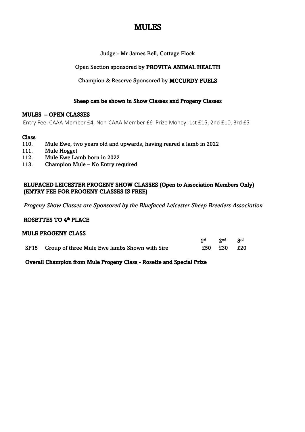# MULES

Judge:- Mr James Bell, Cottage Flock

Open Section sponsored by PROVITA ANIMAL HEALTH

Champion & Reserve Sponsored by MCCURDY FUELS

## Sheep can be shown in Show Classes and Progeny Classes

## MULES – OPEN CLASSES

Entry Fee: CAAA Member £4, Non-CAAA Member £6 Prize Money: 1st £15, 2nd £10, 3rd £5

## Class

- 110. Mule Ewe, two years old and upwards, having reared a lamb in 2022
- 111. Mule Hogget
- 112. Mule Ewe Lamb born in 2022
- 113. Champion Mule No Entry required

## BLUFACED LEICESTER PROGENY SHOW CLASSES (Open to Association Members Only) (ENTRY FEE FOR PROGENY CLASSES IS FREE)

*Progeny Show Classes are Sponsored by the Bluefaced Leicester Sheep Breeders Association* 

## ROSETTES TO 4<sup>th</sup> PLACE

| <b>MULE PROGENY CLASS</b> |                                                    |  |             |     |  |  |  |  |
|---------------------------|----------------------------------------------------|--|-------------|-----|--|--|--|--|
|                           |                                                    |  | 1st 2nd 3rd |     |  |  |  |  |
|                           | SP15 Group of three Mule Ewe lambs Shown with Sire |  | £50 £30     | £20 |  |  |  |  |

## Overall Champion from Mule Progeny Class - Rosette and Special Prize